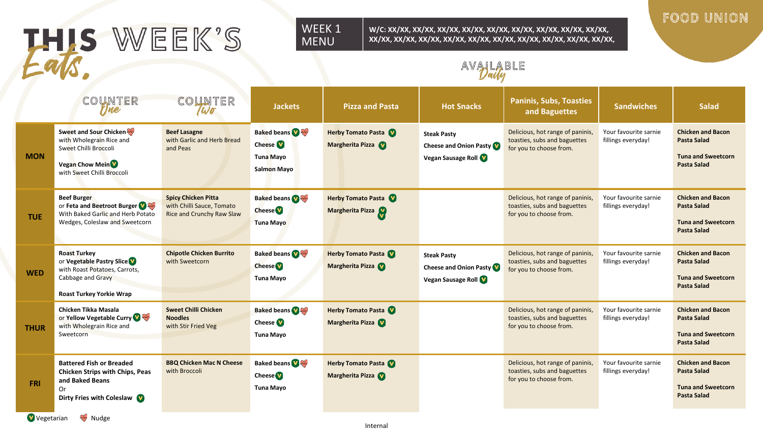# THIS WEEK'S

#### WEEK 1 MENU

**W/C: XX/XX, XX/XX, XX/XX, XX/XX, XX/XX, XX/XX, XX/XX, XX/XX, XX/XX, XX/XX, XX/XX, XX/XX, XX/XX, XX/XX, XX/XX, XX/XX, XX/XX, XX/XX, XX/XX,** 

# FOOD UNION

AVAILABLE

|             | COUNTER<br>rjne                                                                                                                                 | COUNTER<br>Wo                                                                        | <b>Jackets</b>                                                                 | <b>Pizza and Pasta</b>                        | <b>Hot Snacks</b>                                                           | <b>Paninis, Subs, Toasties</b><br>and Baguettes                                             | <b>Sandwiches</b>                           | <b>Salad</b>                                                                                      |
|-------------|-------------------------------------------------------------------------------------------------------------------------------------------------|--------------------------------------------------------------------------------------|--------------------------------------------------------------------------------|-----------------------------------------------|-----------------------------------------------------------------------------|---------------------------------------------------------------------------------------------|---------------------------------------------|---------------------------------------------------------------------------------------------------|
| <b>MON</b>  | Sweet and Sour Chicken<br>with Wholegrain Rice and<br>Sweet Chilli Broccoli<br><b>Vegan Chow Mein<sup>V</sup></b><br>with Sweet Chilli Broccoli | <b>Beef Lasagne</b><br>with Garlic and Herb Bread<br>and Peas                        | <b>Baked beans O</b><br>Cheese <sup>V</sup><br>Tuna Mayo<br><b>Salmon Mayo</b> | Herby Tomato Pasta<br>Margherita Pizza        | <b>Steak Pasty</b><br>Cheese and Onion Pasty<br><b>Vegan Sausage Roll V</b> | Delicious, hot range of paninis,<br>toasties, subs and baguettes<br>for you to choose from. | Your favourite sarnie<br>fillings everyday! | <b>Chicken and Bacon</b><br><b>Pasta Salad</b><br><b>Tuna and Sweetcorn</b><br><b>Pasta Salad</b> |
| <b>TUE</b>  | <b>Beef Burger</b><br>or Feta and Beetroot Burger<br>With Baked Garlic and Herb Potato<br>Wedges, Coleslaw and Sweetcorn                        | <b>Spicy Chicken Pitta</b><br>with Chilli Sauce, Tomato<br>Rice and Crunchy Raw Slaw | <b>Baked beans</b><br><b>Cheese</b><br><b>Tuna Mayo</b>                        | <b>Herby Tomato Pasta</b><br>Margherita Pizza |                                                                             | Delicious, hot range of paninis,<br>toasties, subs and baguettes<br>for you to choose from. | Your favourite sarnie<br>fillings everyday! | <b>Chicken and Bacon</b><br><b>Pasta Salad</b><br><b>Tuna and Sweetcorn</b><br><b>Pasta Salad</b> |
| <b>WED</b>  | <b>Roast Turkey</b><br>or Vegetable Pastry Slice V<br>with Roast Potatoes, Carrots,<br>Cabbage and Gravy<br><b>Roast Turkey Yorkie Wrap</b>     | <b>Chipotle Chicken Burrito</b><br>with Sweetcorn                                    | <b>Baked beans</b><br><b>Cheese</b><br><b>Tuna Mayo</b>                        | <b>Herby Tomato Pasta</b><br>Margherita Pizza | <b>Steak Pasty</b><br><b>Cheese and Onion Pasty</b><br>Vegan Sausage Roll   | Delicious, hot range of paninis,<br>toasties, subs and baguettes<br>for you to choose from. | Your favourite sarnie<br>fillings everyday! | <b>Chicken and Bacon</b><br><b>Pasta Salad</b><br><b>Tuna and Sweetcorn</b><br><b>Pasta Salad</b> |
| <b>THUR</b> | Chicken Tikka Masala<br>or Yellow Vegetable Curry<br>with Wholegrain Rice and<br>Sweetcorn                                                      | <b>Sweet Chilli Chicken</b><br><b>Noodles</b><br>with Stir Fried Veg                 | <b>Baked beans</b><br>Cheese <sup>V</sup><br><b>Tuna Mayo</b>                  | Herby Tomato Pasta<br>Margherita Pizza        |                                                                             | Delicious, hot range of paninis,<br>toasties, subs and baguettes<br>for you to choose from. | Your favourite sarnie<br>fillings everyday! | <b>Chicken and Bacon</b><br><b>Pasta Salad</b><br><b>Tuna and Sweetcorn</b><br><b>Pasta Salad</b> |
| <b>FRI</b>  | <b>Battered Fish or Breaded</b><br>Chicken Strips with Chips, Peas<br>and Baked Beans<br>Or<br>Dirty Fries with Coleslaw                        | <b>BBQ Chicken Mac N Cheese</b><br>with Broccoli                                     | <b>Baked beans</b><br><b>Cheese</b><br><b>Tuna Mayo</b>                        | <b>Herby Tomato Pasta</b><br>Margherita Pizza |                                                                             | Delicious, hot range of paninis,<br>toasties, subs and baguettes<br>for you to choose from. | Your favourite sarnie<br>fillings everyday! | <b>Chicken and Bacon</b><br><b>Pasta Salad</b><br><b>Tuna and Sweetcorn</b><br><b>Pasta Salad</b> |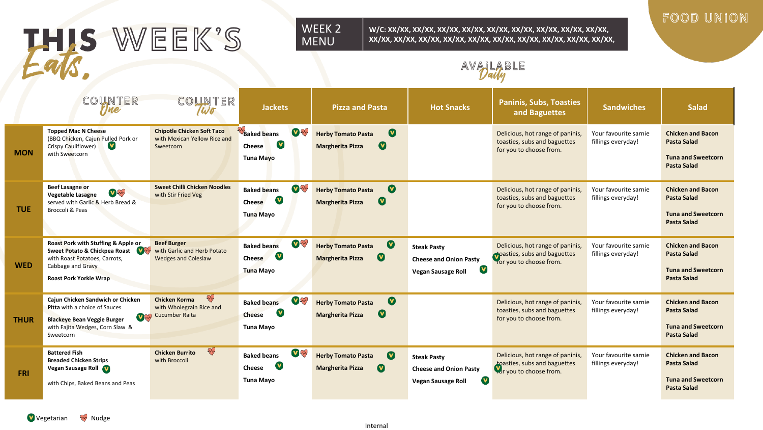# THIS WEEK'S

#### WEEK 2 MENU

**W/C: XX/XX, XX/XX, XX/XX, XX/XX, XX/XX, XX/XX, XX/XX, XX/XX, XX/XX, XX/XX, XX/XX, XX/XX, XX/XX, XX/XX, XX/XX, XX/XX, XX/XX, XX/XX, XX/XX,** 

# FOOD UNION

AVAILABLE

|             | COUNTER<br>rjne                                                                                                                                                 | COUNTER<br>Wo                                                                         | <b>Jackets</b>                                                                      | <b>Pizza and Pasta</b>                                                                | <b>Hot Snacks</b>                                                                               | <b>Paninis, Subs, Toasties</b><br>and Baguettes                                             | <b>Sandwiches</b>                           | <b>Salad</b>                                                                                      |
|-------------|-----------------------------------------------------------------------------------------------------------------------------------------------------------------|---------------------------------------------------------------------------------------|-------------------------------------------------------------------------------------|---------------------------------------------------------------------------------------|-------------------------------------------------------------------------------------------------|---------------------------------------------------------------------------------------------|---------------------------------------------|---------------------------------------------------------------------------------------------------|
| <b>MON</b>  | <b>Topped Mac N Cheese</b><br>(BBQ Chicken, Cajun Pulled Pork or<br><b>V</b><br>Crispy Cauliflower)<br>with Sweetcorn                                           | <b>Chipotle Chicken Soft Taco</b><br>with Mexican Yellow Rice and<br>Sweetcorn        | Baked beans<br><b>V</b> Styles<br><b>V</b><br>Cheese<br>Tuna Mayo                   | $\bullet$<br><b>Herby Tomato Pasta</b><br>$\bullet$<br><b>Margherita Pizza</b>        |                                                                                                 | Delicious, hot range of paninis.<br>toasties, subs and baguettes<br>for you to choose from. | Your favourite sarnie<br>fillings everyday! | <b>Chicken and Bacon</b><br><b>Pasta Salad</b><br><b>Tuna and Sweetcorn</b><br><b>Pasta Salad</b> |
| <b>TUE</b>  | <b>Beef Lasagne or</b><br>V<br>Vegetable Lasagne<br>served with Garlic & Herb Bread &<br>Broccoli & Peas                                                        | <b>Sweet Chilli Chicken Noodles</b><br>with Stir Fried Veg                            | <b>V</b><br><b>Baked beans</b><br>V<br>Cheese<br>Tuna Mayo                          | $\boldsymbol{0}$<br><b>Herby Tomato Pasta</b><br>$\bullet$<br><b>Margherita Pizza</b> |                                                                                                 | Delicious, hot range of paninis,<br>toasties, subs and baguettes<br>for you to choose from. | Your favourite sarnie<br>fillings everyday! | <b>Chicken and Bacon</b><br><b>Pasta Salad</b><br><b>Tuna and Sweetcorn</b><br><b>Pasta Salad</b> |
| <b>WED</b>  | Roast Pork with Stuffing & Apple or<br>Sweet Potato & Chickpea Roast<br>with Roast Potatoes, Carrots,<br>Cabbage and Gravy<br><b>Roast Pork Yorkie Wrap</b>     | <b>Beef Burger</b><br>with Garlic and Herb Potato<br><b>Wedges and Coleslaw</b>       | <b>V ANY</b><br><b>Baked beans</b><br>V<br>Cheese<br><b>Tuna Mayo</b>               | $\bullet$<br><b>Herby Tomato Pasta</b><br>$\bullet$<br><b>Margherita Pizza</b>        | <b>Steak Pasty</b><br><b>Cheese and Onion Pasty</b><br>$\mathbf v$<br><b>Vegan Sausage Roll</b> | Delicious, hot range of paninis,<br>pasties, subs and baguettes<br>for you to choose from.  | Your favourite sarnie<br>fillings everyday! | <b>Chicken and Bacon</b><br><b>Pasta Salad</b><br><b>Tuna and Sweetcorn</b><br><b>Pasta Salad</b> |
| <b>THUR</b> | Cajun Chicken Sandwich or Chicken<br><b>Pitta</b> with a choice of Sauces<br><b>Blackeye Bean Veggie Burger</b><br>with Fajita Wedges, Corn Slaw &<br>Sweetcorn | E<br><b>Chicken Korma</b><br>with Wholegrain Rice and<br><b>Valley</b> Cucumber Raita | <b>V</b> W<br><b>Baked beans</b><br>$\mathbf v$<br><b>Cheese</b><br>Tuna Mayo       | $\bullet$<br><b>Herby Tomato Pasta</b><br>$\bullet$<br><b>Margherita Pizza</b>        |                                                                                                 | Delicious, hot range of paninis,<br>toasties, subs and baguettes<br>for you to choose from. | Your favourite sarnie<br>fillings everyday! | <b>Chicken and Bacon</b><br><b>Pasta Salad</b><br><b>Tuna and Sweetcorn</b><br><b>Pasta Salad</b> |
| <b>FRI</b>  | <b>Battered Fish</b><br><b>Breaded Chicken Strips</b><br>Vegan Sausage Roll V<br>with Chips, Baked Beans and Peas                                               | ay<br><b>Chicken Burrito</b><br>with Broccoli                                         | <b>V</b> Ave<br><b>Baked beans</b><br><b>V</b><br><b>Cheese</b><br><b>Tuna Mayo</b> | $\bullet$<br><b>Herby Tomato Pasta</b><br>$\bullet$<br><b>Margherita Pizza</b>        | <b>Steak Pasty</b><br><b>Cheese and Onion Pasty</b><br>V)<br><b>Vegan Sausage Roll</b>          | Delicious, hot range of paninis,<br>toasties, subs and baguettes<br>for you to choose from. | Your favourite sarnie<br>fillings everyday! | <b>Chicken and Bacon</b><br><b>Pasta Salad</b><br><b>Tuna and Sweetcorn</b><br><b>Pasta Salad</b> |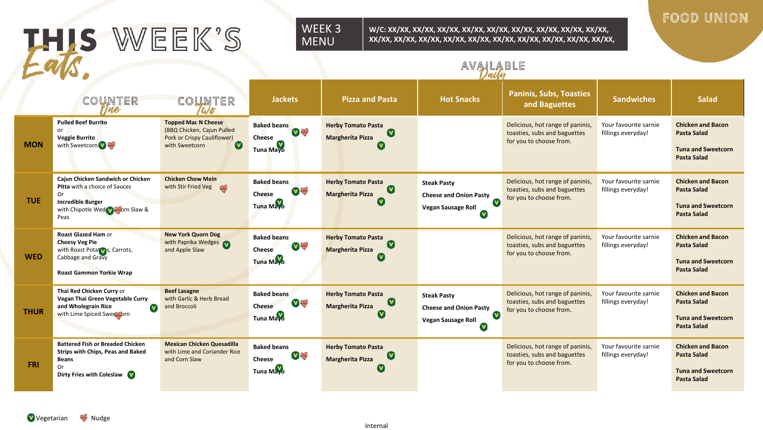# THIS WEEK'S

#### WEEK 3 MENU

**W/C: XX/XX, XX/XX, XX/XX, XX/XX, XX/XX, XX/XX, XX/XX, XX/XX, XX/XX, XX/XX, XX/XX, XX/XX, XX/XX, XX/XX, XX/XX, XX/XX, XX/XX, XX/XX, XX/XX,** 

 $A \setminus A \setminus A \cap A \cap A \cap A \cap B \cap B$ 

# FOOD UNION

|             |                                                                                                                                                  |                                                                                                                          | AVALADLE                                                                 |                                                                                    |                                                                                                                |                                                                                             |                                             |                                                                                                   |
|-------------|--------------------------------------------------------------------------------------------------------------------------------------------------|--------------------------------------------------------------------------------------------------------------------------|--------------------------------------------------------------------------|------------------------------------------------------------------------------------|----------------------------------------------------------------------------------------------------------------|---------------------------------------------------------------------------------------------|---------------------------------------------|---------------------------------------------------------------------------------------------------|
|             | COUNTER<br>me                                                                                                                                    | COUNTER<br>Wo                                                                                                            | <b>Jackets</b>                                                           | <b>Pizza and Pasta</b>                                                             | <b>Hot Snacks</b>                                                                                              | <b>Paninis, Subs, Toasties</b><br>and Baguettes                                             | <b>Sandwiches</b>                           | <b>Salad</b>                                                                                      |
| <b>MON</b>  | <b>Pulled Beef Burrito</b><br>or<br>Veggie Burrito<br>with Sweetcorn W                                                                           | <b>Topped Mac N Cheese</b><br>(BBQ Chicken, Cajun Pulled<br>Pork or Crispy Cauliflower)<br>$\mathbf v$<br>with Sweetcorn | <b>Baked beans</b><br><b>V</b> JAMP<br><b>Cheese</b><br><b>Tuna Mayo</b> | <b>Herby Tomato Pasta</b><br>$\mathbf v$<br><b>Margherita Pizza</b>                |                                                                                                                | Delicious, hot range of paninis,<br>toasties, subs and baguettes<br>for you to choose from. | Your favourite sarnie<br>fillings everyday! | <b>Chicken and Bacon</b><br><b>Pasta Salad</b><br><b>Tuna and Sweetcorn</b><br><b>Pasta Salad</b> |
| <b>TUE</b>  | Cajun Chicken Sandwich or Chicken<br>Pitta with a choice of Sauces<br>Or<br><b>Incredible Burger</b><br>with Chipotle Wed William Slaw &<br>Peas | <b>Chicken Chow Mein</b><br>with Stir Fried Veg (W)                                                                      | <b>Baked beans</b><br><b>V</b> in<br><b>Cheese</b><br>Tuna Mayo          | <b>Herby Tomato Pasta</b><br>$\mathbf v$<br><b>Margherita Pizza</b>                | <b>Steak Pasty</b><br>Cheese and Onion Pasty<br>$\mathbf v$<br>Vegan Sausage Roll<br>$\mathbf v$               | Delicious, hot range of paninis,<br>toasties, subs and baguettes<br>for you to choose from. | Your favourite sarnie<br>fillings everyday! | <b>Chicken and Bacon</b><br><b>Pasta Salad</b><br><b>Tuna and Sweetcorn</b><br><b>Pasta Salad</b> |
| <b>WED</b>  | <b>Roast Glazed Ham or</b><br><b>Cheesy Veg Pie</b><br>with Roast Potat vs, Carrots,<br>Cabbage and Gravy<br><b>Roast Gammon Yorkie Wrap</b>     | <b>New York Quorn Dog</b><br>with Paprika Wedges<br>and Apple Slaw                                                       | <b>Baked beans</b><br><b>V</b> AM<br>Cheese<br><b>Tuna Mayo</b>          | <b>Herby Tomato Pasta</b><br><b>Margherita Pizza</b>                               |                                                                                                                | Delicious, hot range of paninis,<br>toasties, subs and baguettes<br>for you to choose from. | Your favourite sarnie<br>fillings everyday! | <b>Chicken and Bacon</b><br><b>Pasta Salad</b><br><b>Tuna and Sweetcorn</b><br><b>Pasta Salad</b> |
| <b>THUR</b> | Thai Red Chicken Curry or<br>Vegan Thai Green Vegetable Curry<br>and Wholegrain Rice<br>$\mathbf v$<br>with Lime Spiced Swee worn                | <b>Beef Lasagne</b><br>with Garlic & Herb Bread<br>and Broccoli                                                          | <b>Baked beans</b><br>V<br><b>Cheese</b><br><b>Tuna Mayo</b>             | <b>Herby Tomato Pasta</b><br>$\mathbf v$<br><b>Margherita Pizza</b><br>$\mathbf v$ | <b>Steak Pasty</b><br><b>Cheese and Onion Pasty</b><br>$\mathbf v$<br><b>Vegan Sausage Roll</b><br>$\mathbf v$ | Delicious, hot range of paninis,<br>toasties, subs and baguettes<br>for you to choose from. | Your favourite sarnie<br>fillings everyday! | <b>Chicken and Bacon</b><br><b>Pasta Salad</b><br><b>Tuna and Sweetcorn</b><br><b>Pasta Salad</b> |
| <b>FRI</b>  | <b>Battered Fish or Breaded Chicken</b><br>Strips with Chips, Peas and Baked<br><b>Beans</b><br><b>Or</b><br>Dirty Fries with Coleslaw           | <b>Mexican Chicken Quesadilla</b><br>with Lime and Coriander Rice<br>and Corn Slaw                                       | <b>Baked beans</b><br>V W<br><b>Cheese</b><br>Tuna Mayo                  | <b>Herby Tomato Pasta</b><br><b>Margherita Pizza</b><br>[V                         |                                                                                                                | Delicious, hot range of paninis,<br>toasties, subs and baguettes<br>for you to choose from. | Your favourite sarnie<br>fillings everyday! | <b>Chicken and Bacon</b><br><b>Pasta Salad</b><br><b>Tuna and Sweetcorn</b><br><b>Pasta Salad</b> |

Vegetarian **W** Nudge

Internal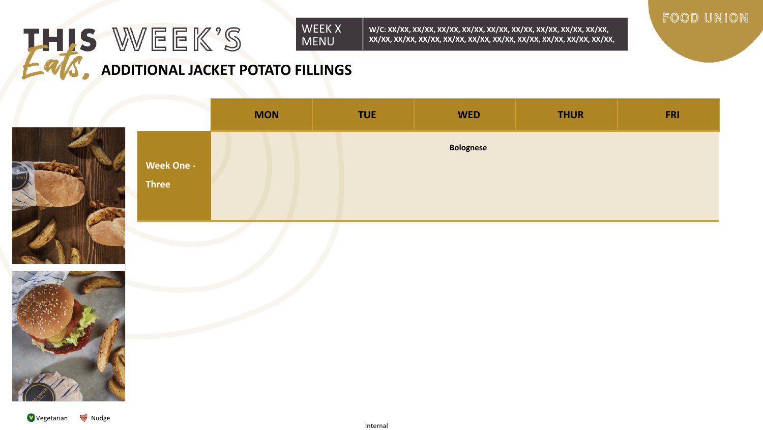## THIS WEEK'S WEEK X MENU **ADDITIONAL JACKET POTATO FILLINGS**

**W/C: XX/XX, XX/XX, XX/XX, XX/XX, XX/XX, XX/XX, XX/XX, XX/XX, XX/XX, XX/XX, XX/XX, XX/XX, XX/XX, XX/XX, XX/XX, XX/XX, XX/XX, XX/XX, XX/XX,** 



**MON TUE WED THUR FRI Week One - Three Bolognese**

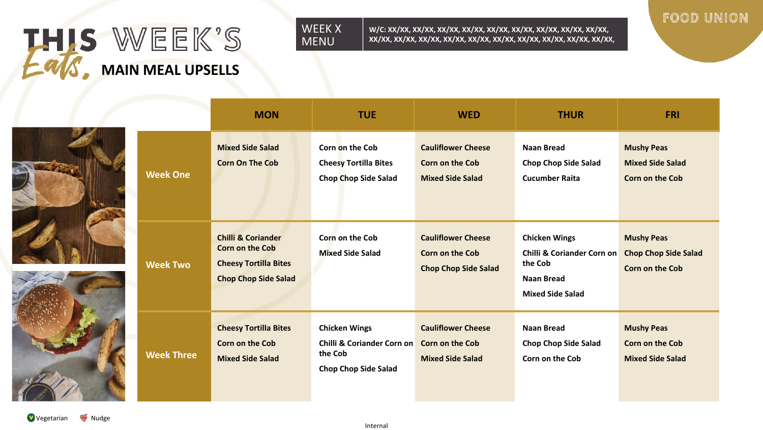

**W/C: XX/XX, XX/XX, XX/XX, XX/XX, XX/XX, XX/XX, XX/XX, XX/XX, XX/XX, XX/XX, XX/XX, XX/XX, XX/XX, XX/XX, XX/XX, XX/XX, XX/XX, XX/XX, XX/XX,** 

**MON TUE WED THUR FRI**

# FOOD UNION



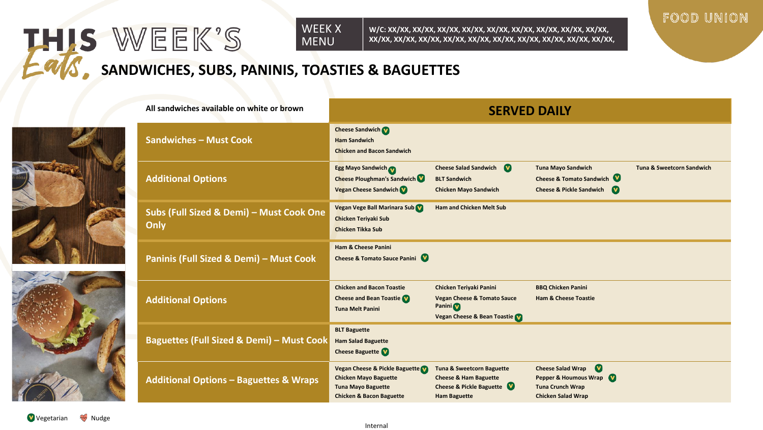**W/C: XX/XX, XX/XX, XX/XX, XX/XX, XX/XX, XX/XX, XX/XX, XX/XX, XX/XX, XX/XX, XX/XX, XX/XX, XX/XX, XX/XX, XX/XX, XX/XX, XX/XX, XX/XX, XX/XX,** 



# **SANDWICHES, SUBS, PANINIS, TOASTIES & BAGUETTES**



THIS WEEK'S

| All sandwiches available on white or brown           | <b>SERVED DAILY</b>                                                                                                                |                                                                                                                             |                                                                                                                        |                                      |  |
|------------------------------------------------------|------------------------------------------------------------------------------------------------------------------------------------|-----------------------------------------------------------------------------------------------------------------------------|------------------------------------------------------------------------------------------------------------------------|--------------------------------------|--|
| <b>Sandwiches - Must Cook</b>                        | <b>Cheese Sandwich</b><br><b>Ham Sandwich</b><br><b>Chicken and Bacon Sandwich</b>                                                 |                                                                                                                             |                                                                                                                        |                                      |  |
| <b>Additional Options</b>                            | <b>Egg Mayo Sandwich</b><br>Cheese Ploughman's Sandwich<br><b>Vegan Cheese Sandwich</b>                                            | <b>Cheese Salad Sandwich</b><br><b>BLT Sandwich</b><br><b>Chicken Mayo Sandwich</b>                                         | <b>Tuna Mayo Sandwich</b><br>Cheese & Tomato Sandwich<br><b>Cheese &amp; Pickle Sandwich</b><br><b>V</b>               | <b>Tuna &amp; Sweetcorn Sandwich</b> |  |
| Subs (Full Sized & Demi) - Must Cook One<br>Only     | Vegan Vege Ball Marinara Sub<br><b>Chicken Teriyaki Sub</b><br><b>Chicken Tikka Sub</b>                                            | <b>Ham and Chicken Melt Sub</b>                                                                                             |                                                                                                                        |                                      |  |
| Paninis (Full Sized & Demi) - Must Cook              | <b>Ham &amp; Cheese Panini</b><br><b>Cheese &amp; Tomato Sauce Panini</b>                                                          |                                                                                                                             |                                                                                                                        |                                      |  |
| <b>Additional Options</b>                            | <b>Chicken and Bacon Toastie</b><br><b>Cheese and Bean Toastie VI</b><br><b>Tuna Melt Panini</b>                                   | Chicken Teriyaki Panini<br><b>Vegan Cheese &amp; Tomato Sauce</b><br>Panini <sup>(</sup><br>Vegan Cheese & Bean Toastie     | <b>BBQ Chicken Panini</b><br><b>Ham &amp; Cheese Toastie</b>                                                           |                                      |  |
| <b>Baguettes (Full Sized &amp; Demi) - Must Cook</b> | <b>BLT Baguette</b><br><b>Ham Salad Baguette</b><br><b>Cheese Baguette</b>                                                         |                                                                                                                             |                                                                                                                        |                                      |  |
| <b>Additional Options - Baguettes &amp; Wraps</b>    | Vegan Cheese & Pickle Baguette<br><b>Chicken Mayo Baguette</b><br><b>Tuna Mayo Baguette</b><br><b>Chicken &amp; Bacon Baguette</b> | <b>Tuna &amp; Sweetcorn Baguette</b><br><b>Cheese &amp; Ham Baguette</b><br>Cheese & Pickle Baguette<br><b>Ham Baguette</b> | $\bullet$<br><b>Cheese Salad Wrap</b><br>Pepper & Houmous Wrap<br><b>Tuna Crunch Wrap</b><br><b>Chicken Salad Wrap</b> |                                      |  |

Vegetarian W Nudge

Internal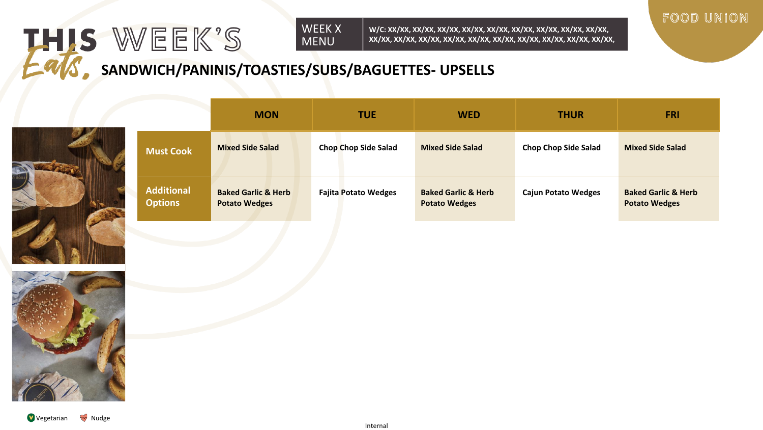**W/C: XX/XX, XX/XX, XX/XX, XX/XX, XX/XX, XX/XX, XX/XX, XX/XX, XX/XX, XX/XX, XX/XX, XX/XX, XX/XX, XX/XX, XX/XX, XX/XX, XX/XX, XX/XX, XX/XX,** 



**SANDWICH/PANINIS/TOASTIES/SUBS/BAGUETTES- UPSELLS**



THIS WEEK'S

|                                     | <b>MON</b>                                             | <b>TUE</b>                  | <b>WED</b>                                             | <b>THUR</b>                 | <b>FRI</b>                                             |
|-------------------------------------|--------------------------------------------------------|-----------------------------|--------------------------------------------------------|-----------------------------|--------------------------------------------------------|
| <b>Must Cook</b>                    | <b>Mixed Side Salad</b>                                | <b>Chop Chop Side Salad</b> | <b>Mixed Side Salad</b>                                | <b>Chop Chop Side Salad</b> | <b>Mixed Side Salad</b>                                |
| <b>Additional</b><br><b>Options</b> | <b>Baked Garlic &amp; Herb</b><br><b>Potato Wedges</b> | <b>Fajita Potato Wedges</b> | <b>Baked Garlic &amp; Herb</b><br><b>Potato Wedges</b> | <b>Cajun Potato Wedges</b>  | <b>Baked Garlic &amp; Herb</b><br><b>Potato Wedges</b> |

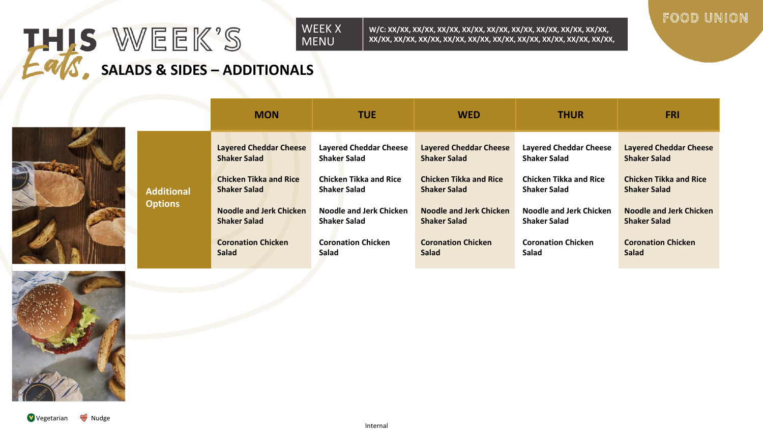## THIS WEEK'S WEEK X MENU **SALADS & SIDES – ADDITIONALS**

**Additi Option** 



|      | <b>MON</b>                    | <b>TUE</b>                    | <b>WED</b>                    | <b>THUR</b>                   | <b>FRI</b>                    |
|------|-------------------------------|-------------------------------|-------------------------------|-------------------------------|-------------------------------|
|      | <b>Layered Cheddar Cheese</b> | <b>Layered Cheddar Cheese</b> | <b>Layered Cheddar Cheese</b> | <b>Layered Cheddar Cheese</b> | <b>Layered Cheddar Cheese</b> |
|      | <b>Shaker Salad</b>           | <b>Shaker Salad</b>           | <b>Shaker Salad</b>           | <b>Shaker Salad</b>           | <b>Shaker Salad</b>           |
| onal | <b>Chicken Tikka and Rice</b> | <b>Chicken Tikka and Rice</b> | <b>Chicken Tikka and Rice</b> | <b>Chicken Tikka and Rice</b> | <b>Chicken Tikka and Rice</b> |
|      | <b>Shaker Salad</b>           | <b>Shaker Salad</b>           | <b>Shaker Salad</b>           | <b>Shaker Salad</b>           | <b>Shaker Salad</b>           |
| าร   | Noodle and Jerk Chicken       | Noodle and Jerk Chicken       | Noodle and Jerk Chicken       | Noodle and Jerk Chicken       | Noodle and Jerk Chicken       |
|      | <b>Shaker Salad</b>           | <b>Shaker Salad</b>           | <b>Shaker Salad</b>           | <b>Shaker Salad</b>           | <b>Shaker Salad</b>           |
|      | <b>Coronation Chicken</b>     | <b>Coronation Chicken</b>     | <b>Coronation Chicken</b>     | <b>Coronation Chicken</b>     | <b>Coronation Chicken</b>     |
|      | <b>Salad</b>                  | Salad                         | Salad                         | Salad                         | Salad                         |

**W/C: XX/XX, XX/XX, XX/XX, XX/XX, XX/XX, XX/XX, XX/XX, XX/XX, XX/XX, XX/XX, XX/XX, XX/XX, XX/XX, XX/XX, XX/XX, XX/XX, XX/XX, XX/XX, XX/XX,** 

Vegetarian **W** Nudge

# FOOD UNION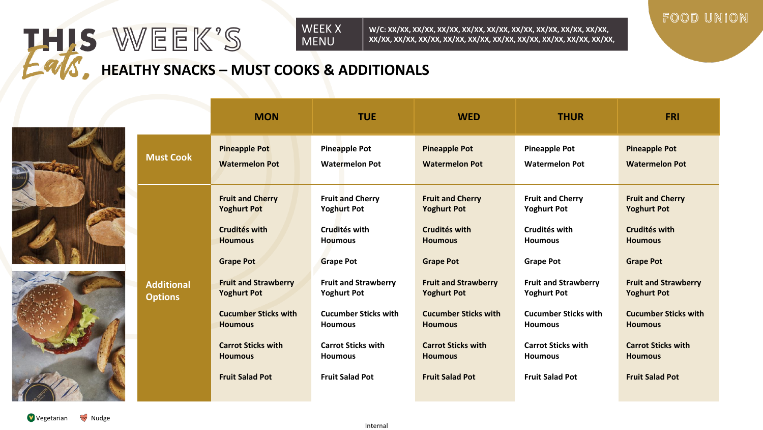**W/C: XX/XX, XX/XX, XX/XX, XX/XX, XX/XX, XX/XX, XX/XX, XX/XX, XX/XX, XX/XX, XX/XX, XX/XX, XX/XX, XX/XX, XX/XX, XX/XX, XX/XX, XX/XX, XX/XX,** 



# **HEALTHY SNACKS – MUST COOKS & ADDITIONALS**



THIS WEEK'S

|                                     | <b>MON</b>                                                                                                                                                                                                                                                                          | <b>TUE</b>                                                                                                                                                                                                                                                                          | <b>WED</b>                                                                                                                                                                                                                                                                          | <b>THUR</b>                                                                                                                                                                                                                                                                         | <b>FRI</b>                                                                                                                                                                                                                                                                          |
|-------------------------------------|-------------------------------------------------------------------------------------------------------------------------------------------------------------------------------------------------------------------------------------------------------------------------------------|-------------------------------------------------------------------------------------------------------------------------------------------------------------------------------------------------------------------------------------------------------------------------------------|-------------------------------------------------------------------------------------------------------------------------------------------------------------------------------------------------------------------------------------------------------------------------------------|-------------------------------------------------------------------------------------------------------------------------------------------------------------------------------------------------------------------------------------------------------------------------------------|-------------------------------------------------------------------------------------------------------------------------------------------------------------------------------------------------------------------------------------------------------------------------------------|
| <b>Must Cook</b>                    | <b>Pineapple Pot</b><br><b>Watermelon Pot</b>                                                                                                                                                                                                                                       | <b>Pineapple Pot</b><br><b>Watermelon Pot</b>                                                                                                                                                                                                                                       | <b>Pineapple Pot</b><br><b>Watermelon Pot</b>                                                                                                                                                                                                                                       | <b>Pineapple Pot</b><br><b>Watermelon Pot</b>                                                                                                                                                                                                                                       | <b>Pineapple Pot</b><br><b>Watermelon Pot</b>                                                                                                                                                                                                                                       |
| <b>Additional</b><br><b>Options</b> | <b>Fruit and Cherry</b><br><b>Yoghurt Pot</b><br>Crudités with<br><b>Houmous</b><br><b>Grape Pot</b><br><b>Fruit and Strawberry</b><br><b>Yoghurt Pot</b><br><b>Cucumber Sticks with</b><br><b>Houmous</b><br><b>Carrot Sticks with</b><br><b>Houmous</b><br><b>Fruit Salad Pot</b> | <b>Fruit and Cherry</b><br><b>Yoghurt Pot</b><br>Crudités with<br><b>Houmous</b><br><b>Grape Pot</b><br><b>Fruit and Strawberry</b><br><b>Yoghurt Pot</b><br><b>Cucumber Sticks with</b><br><b>Houmous</b><br><b>Carrot Sticks with</b><br><b>Houmous</b><br><b>Fruit Salad Pot</b> | <b>Fruit and Cherry</b><br><b>Yoghurt Pot</b><br>Crudités with<br><b>Houmous</b><br><b>Grape Pot</b><br><b>Fruit and Strawberry</b><br><b>Yoghurt Pot</b><br><b>Cucumber Sticks with</b><br><b>Houmous</b><br><b>Carrot Sticks with</b><br><b>Houmous</b><br><b>Fruit Salad Pot</b> | <b>Fruit and Cherry</b><br><b>Yoghurt Pot</b><br>Crudités with<br><b>Houmous</b><br><b>Grape Pot</b><br><b>Fruit and Strawberry</b><br><b>Yoghurt Pot</b><br><b>Cucumber Sticks with</b><br><b>Houmous</b><br><b>Carrot Sticks with</b><br><b>Houmous</b><br><b>Fruit Salad Pot</b> | <b>Fruit and Cherry</b><br><b>Yoghurt Pot</b><br>Crudités with<br><b>Houmous</b><br><b>Grape Pot</b><br><b>Fruit and Strawberry</b><br><b>Yoghurt Pot</b><br><b>Cucumber Sticks with</b><br><b>Houmous</b><br><b>Carrot Sticks with</b><br><b>Houmous</b><br><b>Fruit Salad Pot</b> |

Vegetarian W Nudge

Internal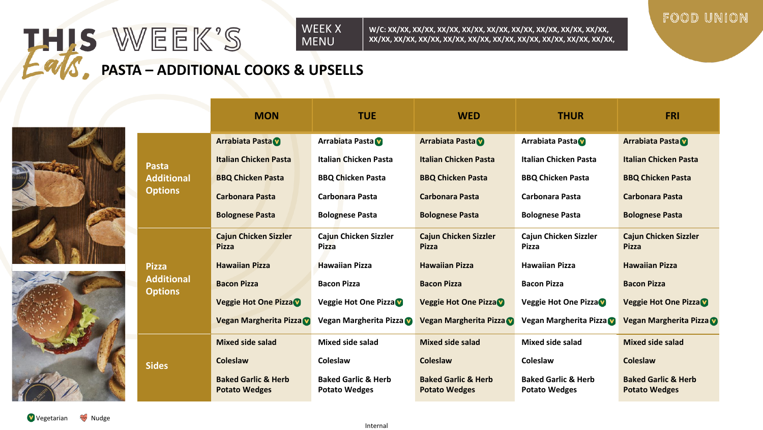# THIS WEEK'S WEEK X MENU **PASTA – ADDITIONAL COOKS & UPSELLS**





|                                     | <b>MON</b>                                             | <b>TUE</b>                                             | <b>WED</b>                                             | <b>THUR</b>                                            | <b>FRI</b>                                             |
|-------------------------------------|--------------------------------------------------------|--------------------------------------------------------|--------------------------------------------------------|--------------------------------------------------------|--------------------------------------------------------|
|                                     | <b>Arrabiata Pasta</b>                                 | Arrabiata Pasta                                        | <b>Arrabiata Pasta</b>                                 | Arrabiata Pasta                                        | <b>Arrabiata Pasta</b>                                 |
| Pasta                               | <b>Italian Chicken Pasta</b>                           | <b>Italian Chicken Pasta</b>                           | <b>Italian Chicken Pasta</b>                           | <b>Italian Chicken Pasta</b>                           | <b>Italian Chicken Pasta</b>                           |
| <b>Additional</b>                   | <b>BBQ Chicken Pasta</b>                               | <b>BBQ Chicken Pasta</b>                               | <b>BBQ Chicken Pasta</b>                               | <b>BBQ Chicken Pasta</b>                               | <b>BBQ Chicken Pasta</b>                               |
| <b>Options</b>                      | <b>Carbonara Pasta</b>                                 | Carbonara Pasta                                        | <b>Carbonara Pasta</b>                                 | Carbonara Pasta                                        | Carbonara Pasta                                        |
|                                     | <b>Bolognese Pasta</b>                                 | <b>Bolognese Pasta</b>                                 | <b>Bolognese Pasta</b>                                 | <b>Bolognese Pasta</b>                                 | <b>Bolognese Pasta</b>                                 |
|                                     | <b>Cajun Chicken Sizzler</b><br><b>Pizza</b>           | Cajun Chicken Sizzler<br><b>Pizza</b>                  | <b>Cajun Chicken Sizzler</b><br><b>Pizza</b>           | Cajun Chicken Sizzler<br>Pizza                         | <b>Cajun Chicken Sizzler</b><br><b>Pizza</b>           |
| <b>Pizza</b>                        | <b>Hawaiian Pizza</b>                                  | <b>Hawaiian Pizza</b>                                  | <b>Hawaiian Pizza</b>                                  | <b>Hawaiian Pizza</b>                                  | <b>Hawaiian Pizza</b>                                  |
| <b>Additional</b><br><b>Options</b> | <b>Bacon Pizza</b>                                     | <b>Bacon Pizza</b>                                     | <b>Bacon Pizza</b>                                     | <b>Bacon Pizza</b>                                     | <b>Bacon Pizza</b>                                     |
|                                     | <b>Veggie Hot One Pizza V</b>                          | Veggie Hot One Pizza                                   | <b>Veggie Hot One Pizza D</b>                          | Veggie Hot One Pizza                                   | <b>Veggie Hot One Pizza V</b>                          |
|                                     | Vegan Margherita Pizza                                 | Vegan Margherita Pizza                                 | Vegan Margherita Pizza                                 | Vegan Margherita Pizza                                 | Vegan Margherita Pizza                                 |
|                                     | <b>Mixed side salad</b>                                | <b>Mixed side salad</b>                                | <b>Mixed side salad</b>                                | Mixed side salad                                       | <b>Mixed side salad</b>                                |
| <b>Sides</b>                        | Coleslaw                                               | Coleslaw                                               | Coleslaw                                               | Coleslaw                                               | Coleslaw                                               |
|                                     | <b>Baked Garlic &amp; Herb</b><br><b>Potato Wedges</b> | <b>Baked Garlic &amp; Herb</b><br><b>Potato Wedges</b> | <b>Baked Garlic &amp; Herb</b><br><b>Potato Wedges</b> | <b>Baked Garlic &amp; Herb</b><br><b>Potato Wedges</b> | <b>Baked Garlic &amp; Herb</b><br><b>Potato Wedges</b> |

**W/C: XX/XX, XX/XX, XX/XX, XX/XX, XX/XX, XX/XX, XX/XX, XX/XX, XX/XX, XX/XX, XX/XX, XX/XX, XX/XX, XX/XX, XX/XX, XX/XX, XX/XX, XX/XX, XX/XX,**  FOOD UNION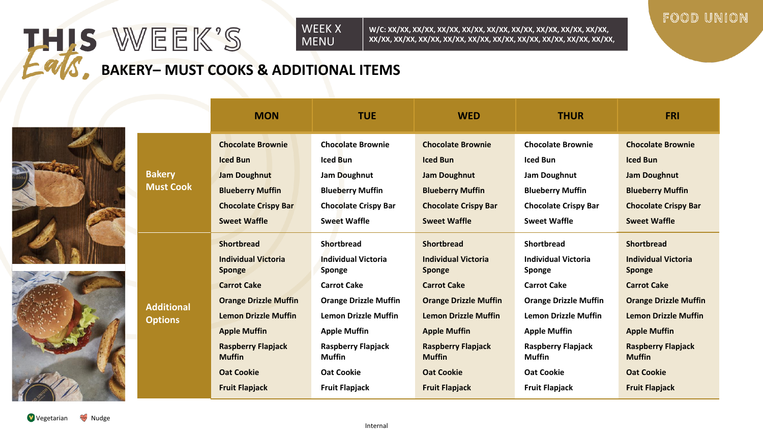### THIS WEEK'S WEEK X MENU

**W/C: XX/XX, XX/XX, XX/XX, XX/XX, XX/XX, XX/XX, XX/XX, XX/XX, XX/XX, XX/XX, XX/XX, XX/XX, XX/XX, XX/XX, XX/XX, XX/XX, XX/XX, XX/XX, XX/XX,** 



**BAKERY– MUST COOKS & ADDITIONAL ITEMS**





|                                     | <b>MON</b>                                                                                                                                                                                                                                                        | <b>TUE</b>                                                                                                                                                                                                                                                               | <b>WED</b>                                                                                                                                                                                                                                                               | <b>THUR</b>                                                                                                                                                                                                                                                       | <b>FRI</b>                                                                                                                                                                                                                                                               |
|-------------------------------------|-------------------------------------------------------------------------------------------------------------------------------------------------------------------------------------------------------------------------------------------------------------------|--------------------------------------------------------------------------------------------------------------------------------------------------------------------------------------------------------------------------------------------------------------------------|--------------------------------------------------------------------------------------------------------------------------------------------------------------------------------------------------------------------------------------------------------------------------|-------------------------------------------------------------------------------------------------------------------------------------------------------------------------------------------------------------------------------------------------------------------|--------------------------------------------------------------------------------------------------------------------------------------------------------------------------------------------------------------------------------------------------------------------------|
| <b>Bakery</b><br><b>Must Cook</b>   | <b>Chocolate Brownie</b><br><b>Iced Bun</b><br><b>Jam Doughnut</b><br><b>Blueberry Muffin</b><br><b>Chocolate Crispy Bar</b><br><b>Sweet Waffle</b>                                                                                                               | <b>Chocolate Brownie</b><br>Iced Bun<br>Jam Doughnut<br><b>Blueberry Muffin</b><br><b>Chocolate Crispy Bar</b><br><b>Sweet Waffle</b>                                                                                                                                    | <b>Chocolate Brownie</b><br><b>Iced Bun</b><br><b>Jam Doughnut</b><br><b>Blueberry Muffin</b><br><b>Chocolate Crispy Bar</b><br><b>Sweet Waffle</b>                                                                                                                      | <b>Chocolate Brownie</b><br><b>Iced Bun</b><br>Jam Doughnut<br><b>Blueberry Muffin</b><br><b>Chocolate Crispy Bar</b><br><b>Sweet Waffle</b>                                                                                                                      | <b>Chocolate Brownie</b><br><b>Iced Bun</b><br><b>Jam Doughnut</b><br><b>Blueberry Muffin</b><br><b>Chocolate Crispy Bar</b><br><b>Sweet Waffle</b>                                                                                                                      |
| <b>Additional</b><br><b>Options</b> | <b>Shortbread</b><br><b>Individual Victoria</b><br>Sponge<br><b>Carrot Cake</b><br><b>Orange Drizzle Muffin</b><br><b>Lemon Drizzle Muffin</b><br><b>Apple Muffin</b><br><b>Raspberry Flapjack</b><br><b>Muffin</b><br><b>Oat Cookie</b><br><b>Fruit Flapjack</b> | <b>Shortbread</b><br><b>Individual Victoria</b><br><b>Sponge</b><br><b>Carrot Cake</b><br><b>Orange Drizzle Muffin</b><br><b>Lemon Drizzle Muffin</b><br><b>Apple Muffin</b><br><b>Raspberry Flapjack</b><br><b>Muffin</b><br><b>Oat Cookie</b><br><b>Fruit Flapjack</b> | <b>Shortbread</b><br><b>Individual Victoria</b><br><b>Sponge</b><br><b>Carrot Cake</b><br><b>Orange Drizzle Muffin</b><br><b>Lemon Drizzle Muffin</b><br><b>Apple Muffin</b><br><b>Raspberry Flapjack</b><br><b>Muffin</b><br><b>Oat Cookie</b><br><b>Fruit Flapjack</b> | <b>Shortbread</b><br><b>Individual Victoria</b><br>Sponge<br><b>Carrot Cake</b><br><b>Orange Drizzle Muffin</b><br><b>Lemon Drizzle Muffin</b><br><b>Apple Muffin</b><br><b>Raspberry Flapjack</b><br><b>Muffin</b><br><b>Oat Cookie</b><br><b>Fruit Flapjack</b> | <b>Shortbread</b><br><b>Individual Victoria</b><br><b>Sponge</b><br><b>Carrot Cake</b><br><b>Orange Drizzle Muffin</b><br><b>Lemon Drizzle Muffin</b><br><b>Apple Muffin</b><br><b>Raspberry Flapjack</b><br><b>Muffin</b><br><b>Oat Cookie</b><br><b>Fruit Flapjack</b> |

Vegetarian <sup>W</sup> Nudge